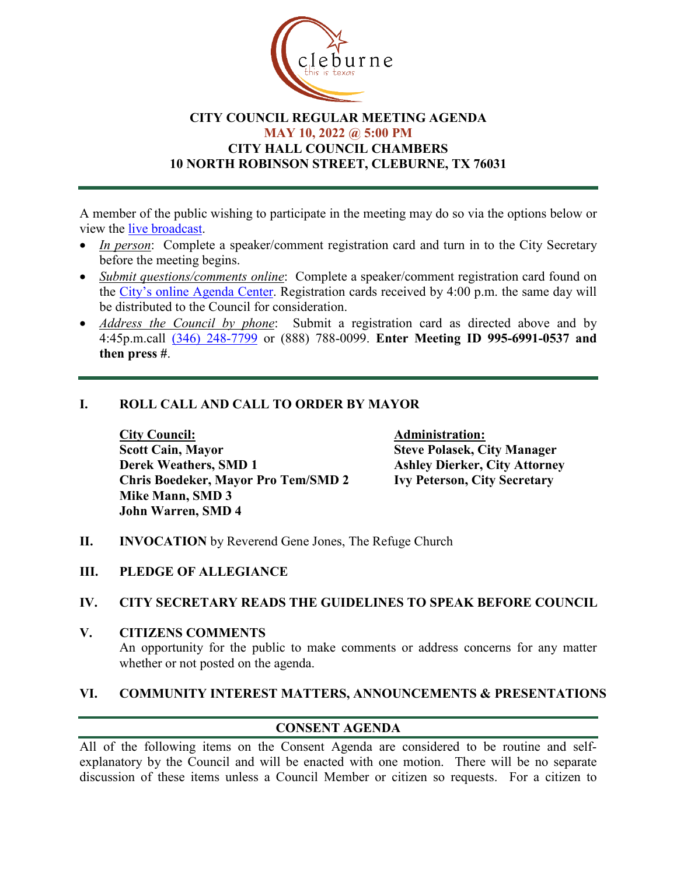

# **CITY COUNCIL REGULAR MEETING AGENDA MAY 10, 2022 @ 5:00 PM CITY HALL COUNCIL CHAMBERS 10 NORTH ROBINSON STREET, CLEBURNE, TX 76031**

A member of the public wishing to participate in the meeting may do so via the options below or view the [live broadcast.](http://www.cleburne.net/925/Cleburne-Live)

- *In person*: Complete a speaker/comment registration card and turn in to the City Secretary before the meeting begins.
- *Submit questions/comments online*: Complete a speaker/comment registration card found on the [City's online Agenda Center.](https://www.cleburne.net/agendacenter) Registration cards received by 4:00 p.m. the same day will be distributed to the Council for consideration.
- *Address the Council by phone*: Submit a registration card as directed above and by 4:45p.m.call [\(346\) 248-7799](tel:+13127573117,,477307821) or (888) 788-0099. **Enter Meeting ID 995-6991-0537 and then press #**.

# **I. ROLL CALL AND CALL TO ORDER BY MAYOR**

**City Council: Administration: Scott Cain, Mayor Steve Polasek, City Manager Derek Weathers, SMD 1 Ashley Dierker, City Attorney**<br> **Chris Boedeker, Mayor Pro Tem/SMD 2 Ivy Peterson, City Secretary Chris Boedeker, Mayor Pro Tem/SMD 2 Mike Mann, SMD 3 John Warren, SMD 4**

- **II. INVOCATION** by Reverend Gene Jones, The Refuge Church
- **III. PLEDGE OF ALLEGIANCE**

### **IV. CITY SECRETARY READS THE GUIDELINES TO SPEAK BEFORE COUNCIL**

**V. CITIZENS COMMENTS**

An opportunity for the public to make comments or address concerns for any matter whether or not posted on the agenda.

### **VI. COMMUNITY INTEREST MATTERS, ANNOUNCEMENTS & PRESENTATIONS**

# **CONSENT AGENDA**

All of the following items on the Consent Agenda are considered to be routine and selfexplanatory by the Council and will be enacted with one motion. There will be no separate discussion of these items unless a Council Member or citizen so requests. For a citizen to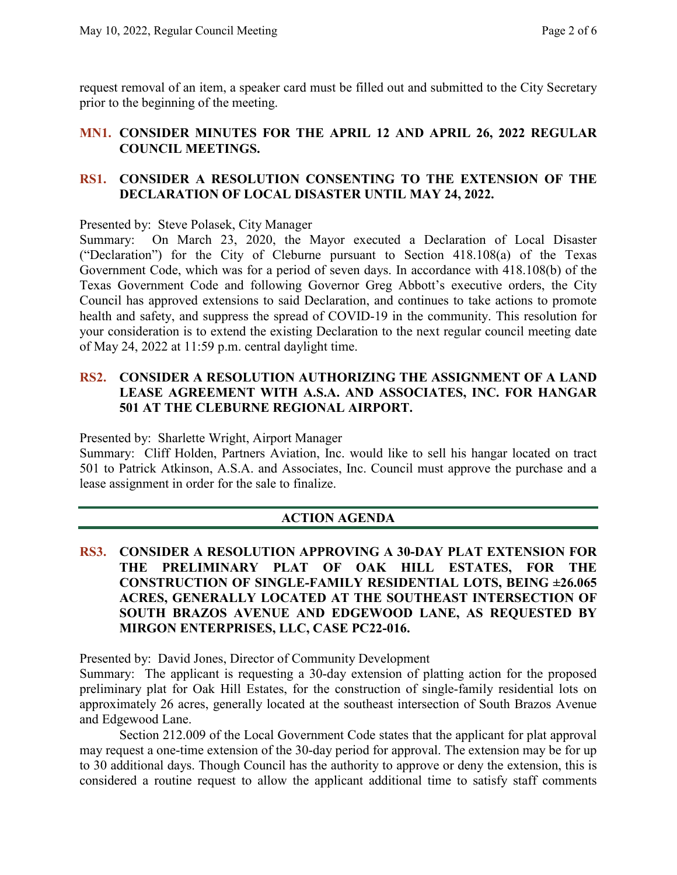request removal of an item, a speaker card must be filled out and submitted to the City Secretary prior to the beginning of the meeting.

### **MN1. CONSIDER MINUTES FOR THE APRIL 12 AND APRIL 26, 2022 REGULAR COUNCIL MEETINGS.**

# **RS1. CONSIDER A RESOLUTION CONSENTING TO THE EXTENSION OF THE DECLARATION OF LOCAL DISASTER UNTIL MAY 24, 2022.**

Presented by: Steve Polasek, City Manager

Summary: On March 23, 2020, the Mayor executed a Declaration of Local Disaster ("Declaration") for the City of Cleburne pursuant to Section 418.108(a) of the Texas Government Code, which was for a period of seven days. In accordance with 418.108(b) of the Texas Government Code and following Governor Greg Abbott's executive orders, the City Council has approved extensions to said Declaration, and continues to take actions to promote health and safety, and suppress the spread of COVID-19 in the community. This resolution for your consideration is to extend the existing Declaration to the next regular council meeting date of May 24, 2022 at 11:59 p.m. central daylight time.

# **RS2. CONSIDER A RESOLUTION AUTHORIZING THE ASSIGNMENT OF A LAND LEASE AGREEMENT WITH A.S.A. AND ASSOCIATES, INC. FOR HANGAR 501 AT THE CLEBURNE REGIONAL AIRPORT.**

Presented by: Sharlette Wright, Airport Manager

Summary: Cliff Holden, Partners Aviation, Inc. would like to sell his hangar located on tract 501 to Patrick Atkinson, A.S.A. and Associates, Inc. Council must approve the purchase and a lease assignment in order for the sale to finalize.

# **ACTION AGENDA**

# **RS3. CONSIDER A RESOLUTION APPROVING A 30-DAY PLAT EXTENSION FOR THE PRELIMINARY PLAT OF OAK HILL ESTATES, FOR THE CONSTRUCTION OF SINGLE-FAMILY RESIDENTIAL LOTS, BEING ±26.065 ACRES, GENERALLY LOCATED AT THE SOUTHEAST INTERSECTION OF SOUTH BRAZOS AVENUE AND EDGEWOOD LANE, AS REQUESTED BY MIRGON ENTERPRISES, LLC, CASE PC22-016.**

Presented by: David Jones, Director of Community Development

Summary: The applicant is requesting a 30-day extension of platting action for the proposed preliminary plat for Oak Hill Estates, for the construction of single-family residential lots on approximately 26 acres, generally located at the southeast intersection of South Brazos Avenue and Edgewood Lane.

Section 212.009 of the Local Government Code states that the applicant for plat approval may request a one-time extension of the 30-day period for approval. The extension may be for up to 30 additional days. Though Council has the authority to approve or deny the extension, this is considered a routine request to allow the applicant additional time to satisfy staff comments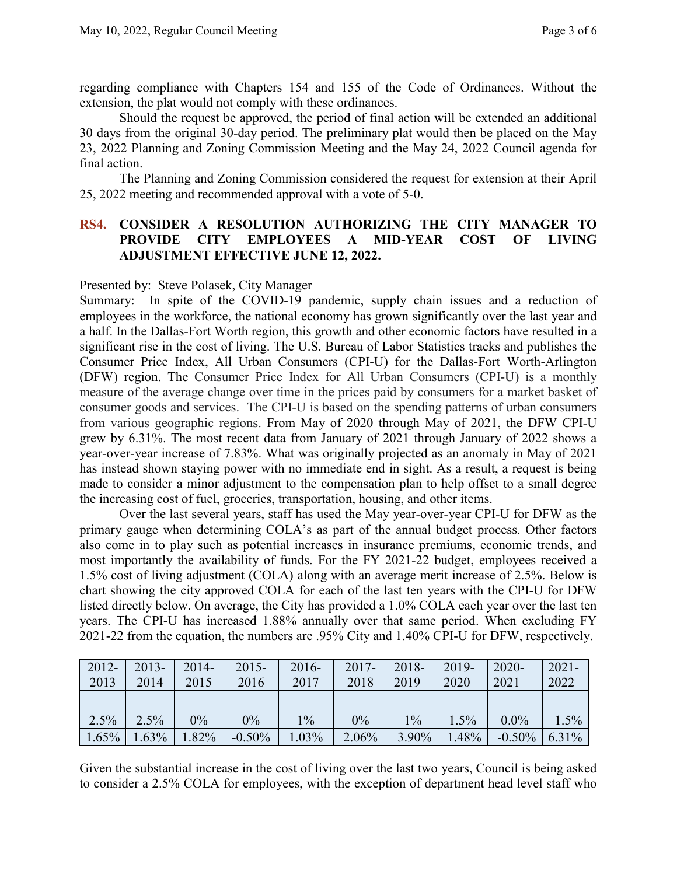regarding compliance with Chapters 154 and 155 of the Code of Ordinances. Without the extension, the plat would not comply with these ordinances.

Should the request be approved, the period of final action will be extended an additional 30 days from the original 30-day period. The preliminary plat would then be placed on the May 23, 2022 Planning and Zoning Commission Meeting and the May 24, 2022 Council agenda for final action.

The Planning and Zoning Commission considered the request for extension at their April 25, 2022 meeting and recommended approval with a vote of 5-0.

### **RS4. CONSIDER A RESOLUTION AUTHORIZING THE CITY MANAGER TO PROVIDE CITY EMPLOYEES A MID-YEAR COST OF LIVING ADJUSTMENT EFFECTIVE JUNE 12, 2022.**

### Presented by: Steve Polasek, City Manager

Summary: In spite of the COVID-19 pandemic, supply chain issues and a reduction of employees in the workforce, the national economy has grown significantly over the last year and a half. In the Dallas-Fort Worth region, this growth and other economic factors have resulted in a significant rise in the cost of living. The U.S. Bureau of Labor Statistics tracks and publishes the Consumer Price Index, All Urban Consumers (CPI-U) for the Dallas-Fort Worth-Arlington (DFW) region. The Consumer Price Index for All Urban Consumers (CPI-U) is a monthly measure of the average change over time in the prices paid by consumers for a market basket of consumer goods and services. The CPI-U is based on the spending patterns of urban consumers from various geographic regions. From May of 2020 through May of 2021, the DFW CPI-U grew by 6.31%. The most recent data from January of 2021 through January of 2022 shows a year-over-year increase of 7.83%. What was originally projected as an anomaly in May of 2021 has instead shown staying power with no immediate end in sight. As a result, a request is being made to consider a minor adjustment to the compensation plan to help offset to a small degree the increasing cost of fuel, groceries, transportation, housing, and other items.

Over the last several years, staff has used the May year-over-year CPI-U for DFW as the primary gauge when determining COLA's as part of the annual budget process. Other factors also come in to play such as potential increases in insurance premiums, economic trends, and most importantly the availability of funds. For the FY 2021-22 budget, employees received a 1.5% cost of living adjustment (COLA) along with an average merit increase of 2.5%. Below is chart showing the city approved COLA for each of the last ten years with the CPI-U for DFW listed directly below. On average, the City has provided a 1.0% COLA each year over the last ten years. The CPI-U has increased 1.88% annually over that same period. When excluding FY 2021-22 from the equation, the numbers are .95% City and 1.40% CPI-U for DFW, respectively.

| $2012 -$ | $2013-$ | $2014-$ | $2015 -$ | $2016-$ | $2017 -$ | $2018 -$ | $2019 -$ | $2020 -$  | $2021 -$ |
|----------|---------|---------|----------|---------|----------|----------|----------|-----------|----------|
| 2013     | 2014    | 2015    | 2016     | 2017    | 2018     | 2019     | 2020     | 2021      | 2022     |
|          |         |         |          |         |          |          |          |           |          |
| $2.5\%$  | 2.5%    | $0\%$   | $0\%$    | $1\%$   | 0%       | $1\%$    | $1.5\%$  | $0.0\%$   | 1.5%     |
| $1.65\%$ | 1.63%   | 1.82%   | $-0.50%$ | 1.03%   | 2.06%    | $3.90\%$ | 1.48%    | $-0.50\%$ | 6.31%    |

Given the substantial increase in the cost of living over the last two years, Council is being asked to consider a 2.5% COLA for employees, with the exception of department head level staff who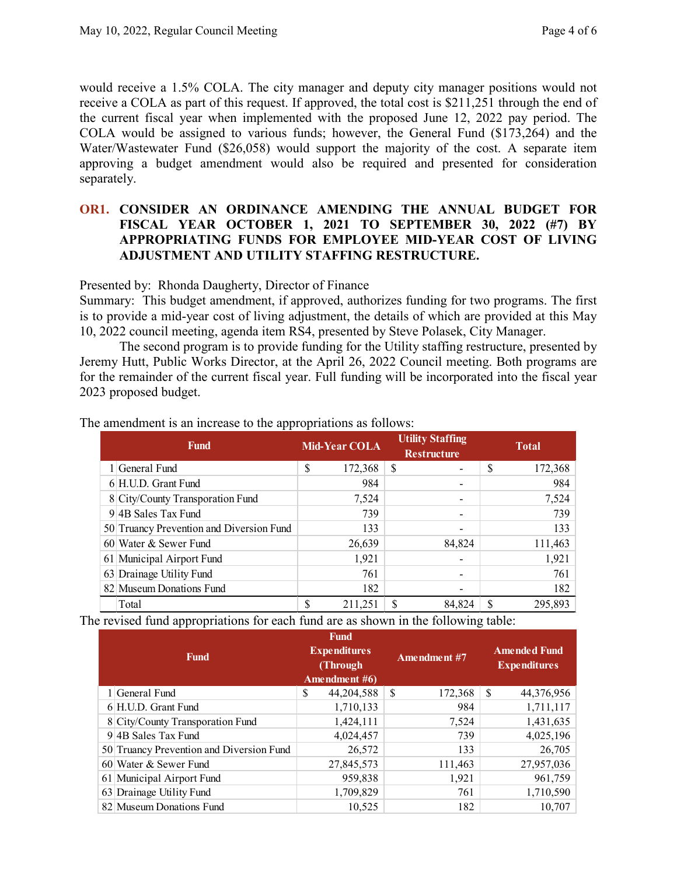would receive a 1.5% COLA. The city manager and deputy city manager positions would not receive a COLA as part of this request. If approved, the total cost is \$211,251 through the end of the current fiscal year when implemented with the proposed June 12, 2022 pay period. The COLA would be assigned to various funds; however, the General Fund (\$173,264) and the Water/Wastewater Fund (\$26,058) would support the majority of the cost. A separate item approving a budget amendment would also be required and presented for consideration separately.

### **OR1. CONSIDER AN ORDINANCE AMENDING THE ANNUAL BUDGET FOR FISCAL YEAR OCTOBER 1, 2021 TO SEPTEMBER 30, 2022 (#7) BY APPROPRIATING FUNDS FOR EMPLOYEE MID-YEAR COST OF LIVING ADJUSTMENT AND UTILITY STAFFING RESTRUCTURE.**

#### Presented by: Rhonda Daugherty, Director of Finance

Summary: This budget amendment, if approved, authorizes funding for two programs. The first is to provide a mid-year cost of living adjustment, the details of which are provided at this May 10, 2022 council meeting, agenda item RS4, presented by Steve Polasek, City Manager.

The second program is to provide funding for the Utility staffing restructure, presented by Jeremy Hutt, Public Works Director, at the April 26, 2022 Council meeting. Both programs are for the remainder of the current fiscal year. Full funding will be incorporated into the fiscal year 2023 proposed budget.

| Fund |                                                           | <b>Mid-Year COLA</b> |         | <b>Utility Staffing</b><br><b>Restructure</b> |        | <b>Total</b> |         |
|------|-----------------------------------------------------------|----------------------|---------|-----------------------------------------------|--------|--------------|---------|
|      | 1 General Fund                                            | S                    | 172,368 | S                                             |        | \$           | 172,368 |
|      | $6 H.U.D.$ Grant Fund                                     |                      | 984     |                                               |        |              | 984     |
|      | 8 City/County Transporation Fund<br>$9$ 4B Sales Tax Fund |                      | 7,524   |                                               |        |              | 7,524   |
|      |                                                           |                      | 739     |                                               |        |              | 739     |
|      | 50 Truancy Prevention and Diversion Fund                  |                      | 133     |                                               |        |              | 133     |
|      | 60 Water & Sewer Fund                                     |                      | 26,639  |                                               | 84,824 |              | 111,463 |
|      | 61 Municipal Airport Fund                                 |                      | 1,921   |                                               |        |              | 1,921   |
|      | 63 Drainage Utility Fund                                  |                      | 761     |                                               |        |              | 761     |
|      | 82 Museum Donations Fund                                  |                      | 182     |                                               |        |              | 182     |
|      | Total                                                     | S                    | 211,251 | S                                             | 84.824 |              | 295,893 |

The amendment is an increase to the appropriations as follows:

The revised fund appropriations for each fund are as shown in the following table:

| <b>Fund</b> |                                          | Fund<br><b>Expenditures</b><br>(Through)<br>Amendment $#6$ |            | <b>Amendment</b> #7 |         | <b>Amended Fund</b><br><b>Expenditures</b> |            |
|-------------|------------------------------------------|------------------------------------------------------------|------------|---------------------|---------|--------------------------------------------|------------|
|             | 1 General Fund                           | \$                                                         | 44,204,588 | <sup>\$</sup>       | 172,368 | S                                          | 44,376,956 |
|             | 6 H.U.D. Grant Fund                      |                                                            | 1,710,133  |                     | 984     |                                            | 1,711,117  |
|             | 8 City/County Transporation Fund         |                                                            | 1,424,111  |                     | 7,524   |                                            | 1,431,635  |
|             | 9 4B Sales Tax Fund                      |                                                            | 4,024,457  |                     | 739     |                                            | 4,025,196  |
|             | 50 Truancy Prevention and Diversion Fund |                                                            | 26,572     |                     | 133     |                                            | 26,705     |
|             | 60 Water & Sewer Fund                    |                                                            | 27,845,573 |                     | 111,463 |                                            | 27,957,036 |
|             | 61 Municipal Airport Fund                |                                                            | 959,838    |                     | 1,921   |                                            | 961,759    |
|             | 63 Drainage Utility Fund                 |                                                            | 1,709,829  |                     | 761     |                                            | 1,710,590  |
|             | 82 Museum Donations Fund                 |                                                            | 10.525     |                     | 182     |                                            | 10.707     |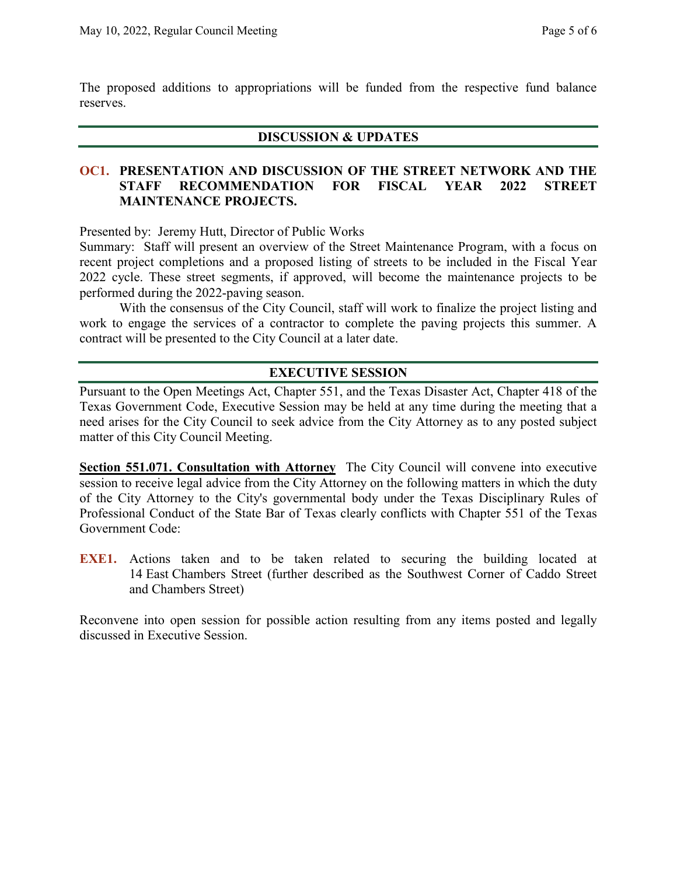The proposed additions to appropriations will be funded from the respective fund balance reserves.

### **DISCUSSION & UPDATES**

### **OC1. PRESENTATION AND DISCUSSION OF THE STREET NETWORK AND THE STAFF RECOMMENDATION FOR FISCAL YEAR 2022 STREET MAINTENANCE PROJECTS.**

Presented by: Jeremy Hutt, Director of Public Works

Summary: Staff will present an overview of the Street Maintenance Program, with a focus on recent project completions and a proposed listing of streets to be included in the Fiscal Year 2022 cycle. These street segments, if approved, will become the maintenance projects to be performed during the 2022-paving season.

With the consensus of the City Council, staff will work to finalize the project listing and work to engage the services of a contractor to complete the paving projects this summer. A contract will be presented to the City Council at a later date.

### **EXECUTIVE SESSION**

Pursuant to the Open Meetings Act, Chapter 551, and the Texas Disaster Act, Chapter 418 of the Texas Government Code, Executive Session may be held at any time during the meeting that a need arises for the City Council to seek advice from the City Attorney as to any posted subject matter of this City Council Meeting.

**Section 551.071. Consultation with Attorney** The City Council will convene into executive session to receive legal advice from the City Attorney on the following matters in which the duty of the City Attorney to the City's governmental body under the Texas Disciplinary Rules of Professional Conduct of the State Bar of Texas clearly conflicts with Chapter 551 of the Texas Government Code:

**EXE1.** Actions taken and to be taken related to securing the building located at 14 East Chambers Street (further described as the Southwest Corner of Caddo Street and Chambers Street)

Reconvene into open session for possible action resulting from any items posted and legally discussed in Executive Session.